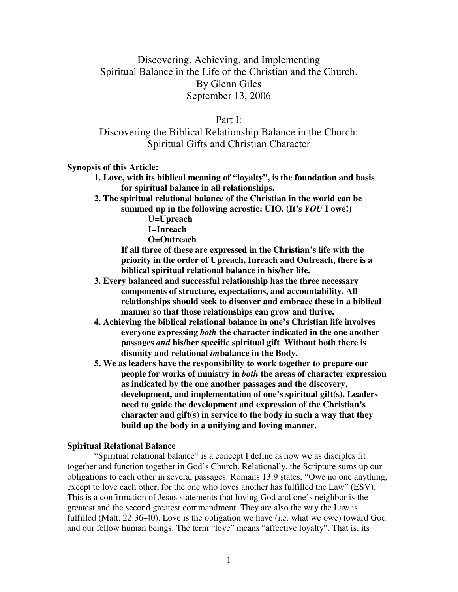# Discovering, Achieving, and Implementing Spiritual Balance in the Life of the Christian and the Church. By Glenn Giles September 13, 2006

Part I:

Discovering the Biblical Relationship Balance in the Church: Spiritual Gifts and Christian Character

**Synopsis of this Article:**

**1. Love, with its biblical meaning of "loyalty", is the foundation and basis for spiritual balance in all relationships.**

**2. The spiritual relational balance of the Christian in the world can be summed up in the following acrostic: UIO. (It's** *YOU* **I owe!)**

**U=Upreach**

**I=Inreach**

**O=Outreach**

**If all three of these are expressed in the Christian's life with the priority in the order of Upreach, Inreach and Outreach, there is a biblical spiritual relational balance in his/her life.**

- **3. Every balanced and successful relationship has the three necessary components of structure, expectations, and accountability. All relationships should seek to discover and embrace these in a biblical manner so that those relationships can grow and thrive.**
- **4. Achieving the biblical relational balance in one's Christian life involves everyone expressing** *both* **the character indicated in the one another passages** *and* **his/her specific spiritual gift**. **Without both there is disunity and relational** *im***balance in the Body.**
- **5. We as leaders have the responsibility to work together to prepare our people for works of ministry in** *both* **the areas of character expression as indicated by the one another passages and the discovery, development, and implementation of one's spiritual gift(s). Leaders need to guide the development and expression of the Christian's character and gift(s) in service to the body in such a way that they build up the body in a unifying and loving manner.**

## **Spiritual Relational Balance**

"Spiritual relational balance" is a concept I define as how we as disciples fit together and function together in God's Church. Relationally, the Scripture sums up our obligations to each other in several passages. Romans 13:9 states, "Owe no one anything, except to love each other, for the one who loves another has fulfilled the Law" (ESV). This is a confirmation of Jesus statements that loving God and one's neighbor is the greatest and the second greatest commandment. They are also the way the Law is fulfilled (Matt. 22:36-40). Love is the obligation we have (i.e. what we owe) toward God and our fellow human beings. The term "love" means "affective loyalty". That is, its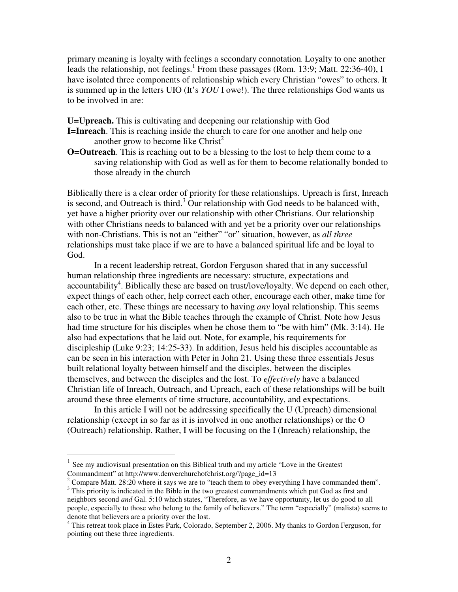primary meaning is loyalty with feelings a secondary connotation. Loyalty to one another leads the relationship, not feelings. 1 From these passages (Rom. 13:9; Matt. 22:36-40), I have isolated three components of relationship which every Christian "owes" to others. It is summed up in the letters UIO (It's *YOU* I owe!). The three relationships God wants us to be involved in are:

**U=Upreach.** This is cultivating and deepening our relationship with God **I=Inreach**. This is reaching inside the church to care for one another and help one

another grow to become like Christ<sup>2</sup>

**O=Outreach**. This is reaching out to be a blessing to the lost to help them come to a saving relationship with God as well as for them to become relationally bonded to those already in the church

Biblically there is a clear order of priority for these relationships. Upreach is first, Inreach is second, and Outreach is third.<sup>3</sup> Our relationship with God needs to be balanced with, yet have a higher priority over our relationship with other Christians. Our relationship with other Christians needs to balanced with and yet be a priority over our relationships with non-Christians. This is not an "either" "or" situation, however, as *all three* relationships must take place if we are to have a balanced spiritual life and be loyal to God.

In a recent leadership retreat, Gordon Ferguson shared that in any successful human relationship three ingredients are necessary: structure, expectations and accountability<sup>4</sup>. Biblically these are based on trust/love/loyalty. We depend on each other, expect things of each other, help correct each other, encourage each other, make time for each other, etc. These things are necessary to having *any* loyal relationship. This seems also to be true in what the Bible teaches through the example of Christ. Note how Jesus had time structure for his disciples when he chose them to "be with him" (Mk. 3:14). He also had expectations that he laid out. Note, for example, his requirements for discipleship (Luke 9:23; 14:25-33). In addition, Jesus held his disciples accountable as can be seen in his interaction with Peter in John 21. Using these three essentials Jesus built relational loyalty between himself and the disciples, between the disciples themselves, and between the disciples and the lost. To *effectively* have a balanced Christian life of Inreach, Outreach, and Upreach, each of these relationships will be built around these three elements of time structure, accountability, and expectations.

In this article I will not be addressing specifically the U (Upreach) dimensional relationship (except in so far as it is involved in one another relationships) or the O (Outreach) relationship. Rather, I will be focusing on the I (Inreach) relationship, the

<sup>1</sup> See my audiovisual presentation on this Biblical truth and my article "Love in the Greatest Commandment" at http://www.denverchurchofchrist.org/?page\_id=13

<sup>&</sup>lt;sup>2</sup> Compare Matt. 28:20 where it says we are to "teach them to obey everything I have commanded them".

<sup>&</sup>lt;sup>3</sup> This priority is indicated in the Bible in the two greatest commandments which put God as first and neighbors second *and* Gal. 5:10 which states, "Therefore, as we have opportunity, let us do good to all people, especially to those who belong to the family of believers." The term "especially" (malista) seems to denote that believers are a priority over the lost.

<sup>&</sup>lt;sup>4</sup> This retreat took place in Estes Park, Colorado, September 2, 2006. My thanks to Gordon Ferguson, for pointing out these three ingredients.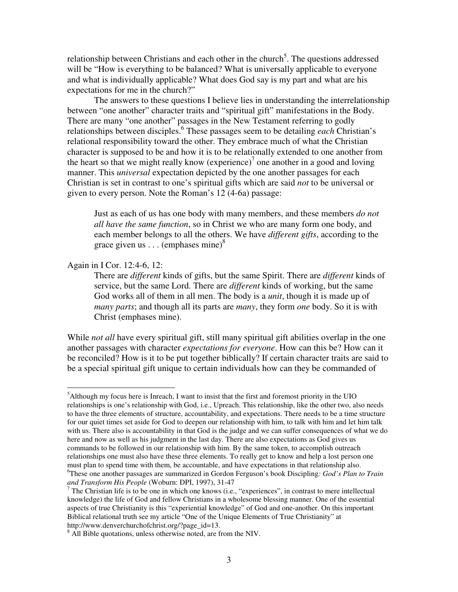relationship between Christians and each other in the church<sup>5</sup>. The questions addressed will be "How is everything to be balanced? What is universally applicable to everyone and what is individually applicable? What does God say is my part and what are his expectations for me in the church?"

The answers to these questions I believe lies in understanding the interrelationship between "one another" character traits and "spiritual gift" manifestations in the Body. There are many "one another" passages in the New Testament referring to godly relationships between disciples. 6 These passages seem to be detailing *each* Christian's relational responsibility toward the other. They embrace much of what the Christian character is supposed to be and how it is to be relationally extended to one another from the heart so that we might really know  $(exp, i)$  one another in a good and loving manner. This *universal* expectation depicted by the one another passages for each Christian is set in contrast to one's spiritual gifts which are said *not* to be universal or given to every person. Note the Roman's 12 (4-6a) passage:

Just as each of us has one body with many members, and these members *do not all have the same function*, so in Christ we who are many form one body, and each member belongs to all the others. We have *different gifts*, according to the grace given us  $\ldots$  (emphases mine)<sup>8</sup>

## Again in I Cor. 12:4-6, 12:

There are *different* kinds of gifts, but the same Spirit. There are *different* kinds of service, but the same Lord. There are *different* kinds of working, but the same God works all of them in all men. The body is a *unit*, though it is made up of *many parts*; and though all its parts are *many*, they form *one* body. So it is with Christ (emphases mine).

While *not all* have every spiritual gift, still many spiritual gift abilities overlap in the one another passages with character *expectations for everyone*. How can this be? How can it be reconciled? How is it to be put together biblically? If certain character traits are said to be a special spiritual gift unique to certain individuals how can they be commanded of

<sup>&</sup>lt;sup>5</sup>Although my focus here is Inreach, I want to insist that the first and foremost priority in the UIO relationships is one's relationship with God, i.e., Upreach. This relationship, like the other two, also needs to have the three elements of structure, accountability, and expectations. There needs to be a time structure for our quiet times set aside for God to deepen our relationship with him, to talk with him and let him talk with us. There also is accountability in that God is the judge and we can suffer consequences of what we do here and now as well as his judgment in the last day. There are also expectations as God gives us commands to be followed in our relationship with him. By the same token, to accomplish outreach relationships one must also have these three elements. To really get to know and help a lost person one must plan to spend time with them, be accountable, and have expectations in that relationship also.

<sup>6</sup>These one another passages are summarized in Gordon Ferguson's book Discipling*: God's Plan to Train and Transform His People* (Woburn: DPI, 1997), 31-47

<sup>&</sup>lt;sup>7</sup> The Christian life is to be one in which one knows (i.e., "experiences", in contrast to mere intellectual knowledge) the life of God and fellow Christians in a wholesome blessing manner. One of the essential aspects of true Christianity is this "experiential knowledge" of God and one-another. On this important Biblical relational truth see my article "One of the Unique Elements of True Christianity" at http://www.denverchurchofchrist.org/?page\_id=13.

<sup>&</sup>lt;sup>8</sup> All Bible quotations, unless otherwise noted, are from the NIV.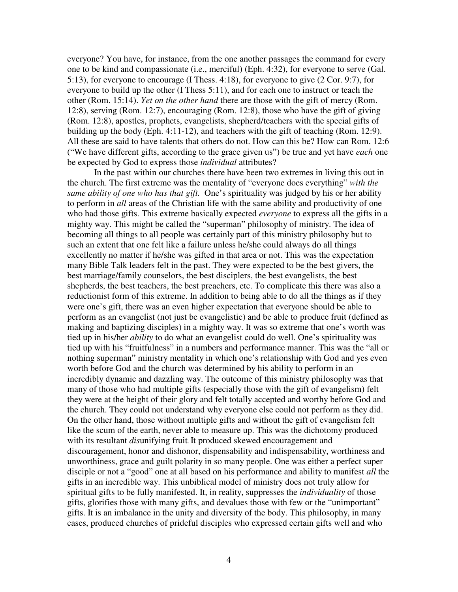everyone? You have, for instance, from the one another passages the command for every one to be kind and compassionate (i.e., merciful) (Eph. 4:32), for everyone to serve (Gal. 5:13), for everyone to encourage (I Thess. 4:18), for everyone to give (2 Cor. 9:7), for everyone to build up the other (I Thess 5:11), and for each one to instruct or teach the other (Rom. 15:14). *Yet on the other hand* there are those with the gift of mercy (Rom. 12:8), serving (Rom. 12:7), encouraging (Rom. 12:8), those who have the gift of giving (Rom. 12:8), apostles, prophets, evangelists, shepherd/teachers with the special gifts of building up the body (Eph. 4:11-12), and teachers with the gift of teaching (Rom. 12:9). All these are said to have talents that others do not. How can this be? How can Rom. 12:6 ("We have different gifts, according to the grace given us") be true and yet have *each* one be expected by God to express those *individual* attributes?

In the past within our churches there have been two extremes in living this out in the church. The first extreme was the mentality of "everyone does everything" *with the same ability of one who has that gift.* One's spirituality was judged by his or her ability to perform in *all* areas of the Christian life with the same ability and productivity of one who had those gifts. This extreme basically expected *everyone* to express all the gifts in a mighty way. This might be called the "superman" philosophy of ministry. The idea of becoming all things to all people was certainly part of this ministry philosophy but to such an extent that one felt like a failure unless he/she could always do all things excellently no matter if he/she was gifted in that area or not. This was the expectation many Bible Talk leaders felt in the past. They were expected to be the best givers, the best marriage/family counselors, the best disciplers, the best evangelists, the best shepherds, the best teachers, the best preachers, etc. To complicate this there was also a reductionist form of this extreme. In addition to being able to do all the things as if they were one's gift, there was an even higher expectation that everyone should be able to perform as an evangelist (not just be evangelistic) and be able to produce fruit (defined as making and baptizing disciples) in a mighty way. It was so extreme that one's worth was tied up in his/her *ability* to do what an evangelist could do well. One's spirituality was tied up with his "fruitfulness" in a numbers and performance manner. This was the "all or nothing superman" ministry mentality in which one's relationship with God and yes even worth before God and the church was determined by his ability to perform in an incredibly dynamic and dazzling way. The outcome of this ministry philosophy was that many of those who had multiple gifts (especially those with the gift of evangelism) felt they were at the height of their glory and felt totally accepted and worthy before God and the church. They could not understand why everyone else could not perform as they did. On the other hand, those without multiple gifts and without the gift of evangelism felt like the scum of the earth, never able to measure up. This was the dichotomy produced with its resultant *dis*unifying fruit. It produced skewed encouragement and discouragement, honor and dishonor, dispensability and indispensability, worthiness and unworthiness, grace and guilt polarity in so many people. One was either a perfect super disciple or not a "good" one at all based on his performance and ability to manifest *all* the gifts in an incredible way. This unbiblical model of ministry does not truly allow for spiritual gifts to be fully manifested. It, in reality, suppresses the *individuality* of those gifts, glorifies those with many gifts, and devalues those with few or the "unimportant" gifts. It is an imbalance in the unity and diversity of the body. This philosophy, in many cases, produced churches of prideful disciples who expressed certain gifts well and who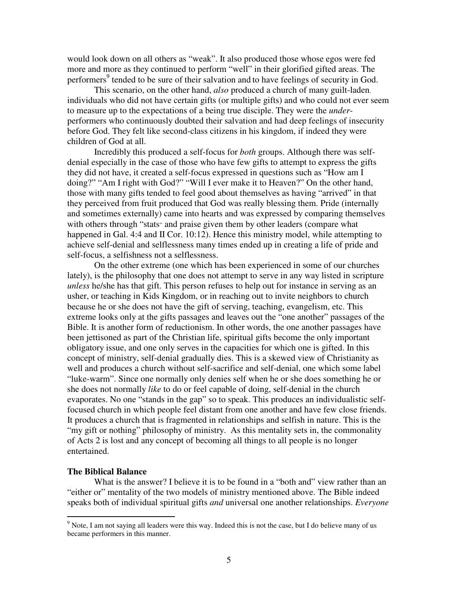would look down on all others as "weak". It also produced those whose egos were fed more and more as they continued to perform "well" in their glorified gifted areas. The performers<sup>9</sup> tended to be sure of their salvation and to have feelings of security in God.

This scenario, on the other hand, *also* produced a church of many guilt-laden. individuals who did not have certain gifts (or multiple gifts) and who could not ever seem to measure up to the expectations of a being true disciple. They were the *under*performers who continuously doubted their salvation and had deep feelings of insecurity before God. They felt like second-class citizens in his kingdom, if indeed they were children of God at all.

Incredibly this produced a self-focus for *both* groups. Although there was selfdenial especially in the case of those who have few gifts to attempt to express the gifts they did not have, it created a self-focus expressed in questions such as "How am I doing?" "Am I right with God?" "Will I ever make it to Heaven?" On the other hand, those with many gifts tended to feel good about themselves as having "arrived" in that they perceived from fruit produced that God was really blessing them. Pride (internally and sometimes externally) came into hearts and was expressed by comparing themselves with others through "stats" and praise given them by other leaders (compare what happened in Gal. 4:4 and II Cor. 10:12). Hence this ministry model, while attempting to achieve self-denial and selflessness many times ended up in creating a life of pride and self-focus, a selfishness not a selflessness.

On the other extreme (one which has been experienced in some of our churches lately), is the philosophy that one does not attempt to serve in any way listed in scripture *unless* he/she has that gift. This person refuses to help out for instance in serving as an usher, or teaching in Kids Kingdom, or in reaching out to invite neighbors to church because he or she does not have the gift of serving, teaching, evangelism, etc. This extreme looks only at the gifts passages and leaves out the "one another" passages of the Bible. It is another form of reductionism. In other words, the one another passages have been jettisoned as part of the Christian life, spiritual gifts become the only important obligatory issue, and one only serves in the capacities for which one is gifted. In this concept of ministry, self-denial gradually dies. This is a skewed view of Christianity as well and produces a church without self-sacrifice and self-denial, one which some label "luke-warm". Since one normally only denies self when he or she does something he or she does not normally *like* to do or feel capable of doing, self-denial in the church evaporates. No one "stands in the gap" so to speak. This produces an individualistic selffocused church in which people feel distant from one another and have few close friends. It produces a church that is fragmented in relationships and selfish in nature. This is the "my gift or nothing" philosophy of ministry. As this mentality sets in, the commonality of Acts 2 is lost and any concept of becoming all things to all people is no longer entertained.

#### **The Biblical Balance**

What is the answer? I believe it is to be found in a "both and" view rather than an "either or" mentality of the two models of ministry mentioned above. The Bible indeed speaks both of individual spiritual gifts *and* universal one another relationships. *Everyone*

<sup>&</sup>lt;sup>9</sup> Note, I am not saying all leaders were this way. Indeed this is not the case, but I do believe many of us became performers in this manner.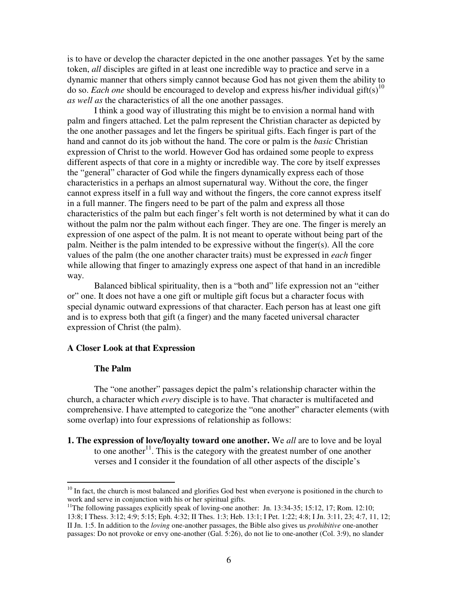is to have or develop the character depicted in the one another passages. Yet by the same token, *all* disciples are gifted in at least one incredible way to practice and serve in a dynamic manner that others simply cannot because God has not given them the ability to do so. *Each one* should be encouraged to develop and express his/her individual gift(s) 10 *as well as* the characteristics of all the one another passages.

I think a good way of illustrating this might be to envision a normal hand with palm and fingers attached. Let the palm represent the Christian character as depicted by the one another passages and let the fingers be spiritual gifts. Each finger is part of the hand and cannot do its job without the hand. The core or palm is the *basic* Christian expression of Christ to the world. However God has ordained some people to express different aspects of that core in a mighty or incredible way. The core by itself expresses the "general" character of God while the fingers dynamically express each of those characteristics in a perhaps an almost supernatural way. Without the core, the finger cannot express itself in a full way and without the fingers, the core cannot express itself in a full manner. The fingers need to be part of the palm and express all those characteristics of the palm but each finger's felt worth is not determined by what it can do without the palm nor the palm without each finger. They are one. The finger is merely an expression of one aspect of the palm. It is not meant to operate without being part of the palm. Neither is the palm intended to be expressive without the finger(s). All the core values of the palm (the one another character traits) must be expressed in *each* finger while allowing that finger to amazingly express one aspect of that hand in an incredible way.

Balanced biblical spirituality, then is a "both and" life expression not an "either or" one. It does not have a one gift or multiple gift focus but a character focus with special dynamic outward expressions of that character. Each person has at least one gift and is to express both that gift (a finger) and the many faceted universal character expression of Christ (the palm).

## **A Closer Look at that Expression**

#### **The Palm**

The "one another" passages depict the palm's relationship character within the church, a character which *every* disciple is to have. That character is multifaceted and comprehensive. I have attempted to categorize the "one another" character elements (with some overlap) into four expressions of relationship as follows:

**1. The expression of love/loyalty toward one another.** We *all* are to love and be loyal to one another $11$ . This is the category with the greatest number of one another verses and I consider it the foundation of all other aspects of the disciple's

<sup>&</sup>lt;sup>10</sup> In fact, the church is most balanced and glorifies God best when everyone is positioned in the church to work and serve in conjunction with his or her spiritual gifts.

<sup>&</sup>lt;sup>11</sup>The following passages explicitly speak of loving-one another: Jn. 13:34-35; 15:12, 17; Rom. 12:10; 13:8; I Thess. 3:12; 4:9; 5:15; Eph. 4:32; II Thes. 1:3; Heb. 13:1; I Pet. 1:22; 4:8; I Jn. 3:11, 23; 4:7, 11, 12; II Jn. 1:5. In addition to the *loving* one-another passages, the Bible also gives us *prohibitive* one-another passages: Do not provoke or envy one-another (Gal. 5:26), do not lie to one-another (Col. 3:9), no slander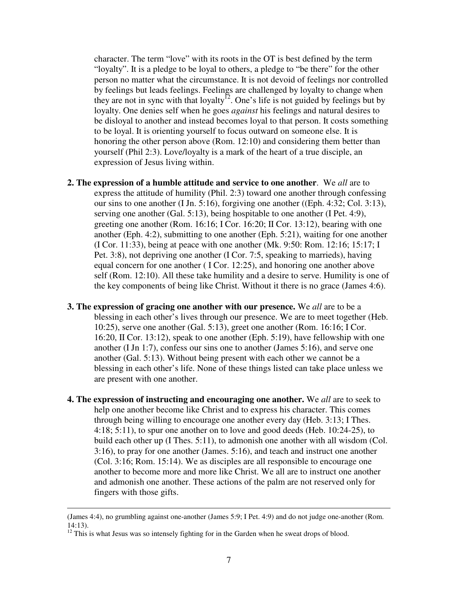character. The term "love" with its roots in the OT is best defined by the term "loyalty". It is a pledge to be loyal to others, a pledge to "be there" for the other person no matter what the circumstance. It is not devoid of feelings nor controlled by feelings but leads feelings. Feelings are challenged by loyalty to change when they are not in sync with that loyalty<sup>12</sup>. One's life is not guided by feelings but by loyalty. One denies self when he goes *against* his feelings and natural desires to be disloyal to another and instead becomes loyal to that person. It costs something to be loyal. It is orienting yourself to focus outward on someone else. It is honoring the other person above (Rom. 12:10) and considering them better than yourself (Phil 2:3). Love/loyalty is a mark of the heart of a true disciple, an expression of Jesus living within.

- **2. The expression of a humble attitude and service to one another**. We *all* are to express the attitude of humility (Phil. 2:3) toward one another through confessing our sins to one another (I Jn. 5:16), forgiving one another ((Eph. 4:32; Col. 3:13), serving one another (Gal. 5:13), being hospitable to one another (I Pet. 4:9), greeting one another (Rom. 16:16; I Cor. 16:20; II Cor. 13:12), bearing with one another (Eph. 4:2), submitting to one another (Eph. 5:21), waiting for one another (I Cor. 11:33), being at peace with one another (Mk. 9:50: Rom. 12:16; 15:17; I Pet. 3:8), not depriving one another (I Cor. 7:5, speaking to marrieds), having equal concern for one another ( I Cor. 12:25), and honoring one another above self (Rom. 12:10). All these take humility and a desire to serve. Humility is one of the key components of being like Christ. Without it there is no grace (James 4:6).
- **3. The expression of gracing one another with our presence.** We *all* are to be a blessing in each other's lives through our presence. We are to meet together (Heb. 10:25), serve one another (Gal. 5:13), greet one another (Rom. 16:16; I Cor. 16:20, II Cor. 13:12), speak to one another (Eph. 5:19), have fellowship with one another (I Jn 1:7), confess our sins one to another (James 5:16), and serve one another (Gal. 5:13). Without being present with each other we cannot be a blessing in each other's life. None of these things listed can take place unless we are present with one another.
- **4. The expression of instructing and encouraging one another.** We *all* are to seek to help one another become like Christ and to express his character. This comes through being willing to encourage one another every day (Heb. 3:13; I Thes. 4:18; 5:11), to spur one another on to love and good deeds (Heb. 10:24-25), to build each other up (I Thes. 5:11), to admonish one another with all wisdom (Col. 3:16), to pray for one another (James. 5:16), and teach and instruct one another (Col. 3:16; Rom. 15:14). We as disciples are all responsible to encourage one another to become more and more like Christ. We all are to instruct one another and admonish one another. These actions of the palm are not reserved only for fingers with those gifts.

<sup>(</sup>James 4:4), no grumbling against one-another (James 5:9; I Pet. 4:9) and do not judge one-another (Rom. 14:13).

 $12$  This is what Jesus was so intensely fighting for in the Garden when he sweat drops of blood.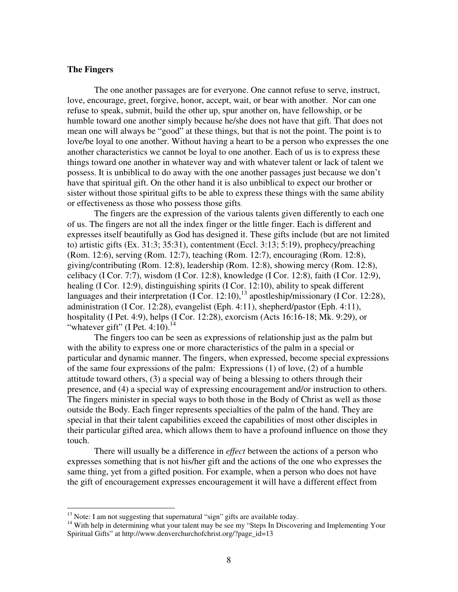## **The Fingers**

The one another passages are for everyone. One cannot refuse to serve, instruct, love, encourage, greet, forgive, honor, accept, wait, or bear with another. Nor can one refuse to speak, submit, build the other up, spur another on, have fellowship, or be humble toward one another simply because he/she does not have that gift. That does not mean one will always be "good" at these things, but that is not the point. The point is to love/be loyal to one another. Without having a heart to be a person who expresses the one another characteristics we cannot be loyal to one another. Each of us is to express these things toward one another in whatever way and with whatever talent or lack of talent we possess. It is unbiblical to do away with the one another passages just because we don't have that spiritual gift. On the other hand it is also unbiblical to expect our brother or sister without those spiritual gifts to be able to express these things with the same ability or effectiveness as those who possess those gifts.

The fingers are the expression of the various talents given differently to each one of us. The fingers are not all the index finger or the little finger. Each is different and expresses itself beautifully as God has designed it. These gifts include (but are not limited to) artistic gifts (Ex. 31:3; 35:31), contentment (Eccl. 3:13; 5:19), prophecy/preaching (Rom. 12:6), serving (Rom. 12:7), teaching (Rom. 12:7), encouraging (Rom. 12:8), giving/contributing (Rom. 12:8), leadership (Rom. 12:8), showing mercy (Rom. 12:8), celibacy (I Cor. 7:7), wisdom (I Cor. 12:8), knowledge (I Cor. 12:8), faith (I Cor. 12:9), healing (I Cor. 12:9), distinguishing spirits (I Cor. 12:10), ability to speak different languages and their interpretation (I Cor. 12:10),  $^{13}$  apostleship/missionary (I Cor. 12:28), administration (I Cor. 12:28), evangelist (Eph. 4:11), shepherd/pastor (Eph. 4:11), hospitality (I Pet. 4:9), helps (I Cor. 12:28), exorcism (Acts 16:16-18; Mk. 9:29), or "whatever gift" (I Pet. 4:10). $^{14}$ 

The fingers too can be seen as expressions of relationship just as the palm but with the ability to express one or more characteristics of the palm in a special or particular and dynamic manner. The fingers, when expressed, become special expressions of the same four expressions of the palm: Expressions (1) of love, (2) of a humble attitude toward others, (3) a special way of being a blessing to others through their presence, and (4) a special way of expressing encouragement and/or instruction to others. The fingers minister in special ways to both those in the Body of Christ as well as those outside the Body. Each finger represents specialties of the palm of the hand. They are special in that their talent capabilities exceed the capabilities of most other disciples in their particular gifted area, which allows them to have a profound influence on those they touch.

There will usually be a difference in *effect* between the actions of a person who expresses something that is not his/her gift and the actions of the one who expresses the same thing, yet from a gifted position. For example, when a person who does not have the gift of encouragement expresses encouragement it will have a different effect from

 $13$  Note: I am not suggesting that supernatural "sign" gifts are available today.

<sup>&</sup>lt;sup>14</sup> With help in determining what your talent may be see my "Steps In Discovering and Implementing Your Spiritual Gifts" at http://www.denverchurchofchrist.org/?page\_id=13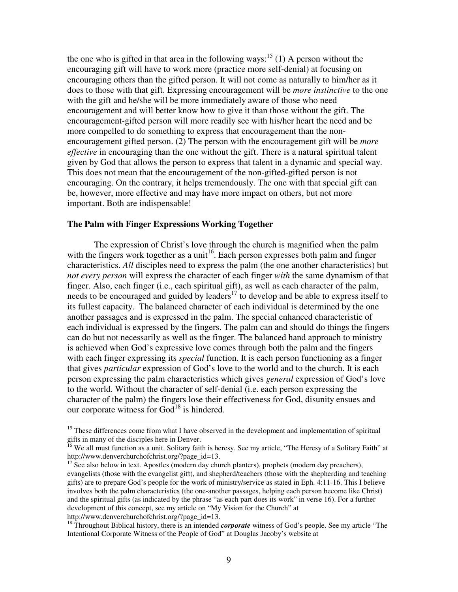the one who is gifted in that area in the following ways:<sup>15</sup> (1) A person without the encouraging gift will have to work more (practice more self-denial) at focusing on encouraging others than the gifted person. It will not come as naturally to him/her as it does to those with that gift. Expressing encouragement will be *more instinctive* to the one with the gift and he/she will be more immediately aware of those who need encouragement and will better know how to give it than those without the gift. The encouragement-gifted person will more readily see with his/her heart the need and be more compelled to do something to express that encouragement than the nonencouragement gifted person. (2) The person with the encouragement gift will be *more effective* in encouraging than the one without the gift. There is a natural spiritual talent given by God that allows the person to express that talent in a dynamic and special way. This does not mean that the encouragement of the non-gifted-gifted person is not encouraging. On the contrary, it helps tremendously. The one with that special gift can be, however, more effective and may have more impact on others, but not more important. Both are indispensable!

## **The Palm with Finger Expressions Working Together**

The expression of Christ's love through the church is magnified when the palm with the fingers work together as a unit<sup>16</sup>. Each person expresses both palm and finger characteristics. *All* disciples need to express the palm (the one another characteristics) but *not every person* will express the character of each finger *with* the same dynamism of that finger. Also, each finger (i.e., each spiritual gift), as well as each character of the palm, needs to be encouraged and guided by leaders<sup>17</sup> to develop and be able to express itself to its fullest capacity. The balanced character of each individual is determined by the one another passages and is expressed in the palm. The special enhanced characteristic of each individual is expressed by the fingers. The palm can and should do things the fingers can do but not necessarily as well as the finger. The balanced hand approach to ministry is achieved when God's expressive love comes through both the palm and the fingers with each finger expressing its *special* function. It is each person functioning as a finger that gives *particular* expression of God's love to the world and to the church. It is each person expressing the palm characteristics which gives *general* expression of God's love to the world. Without the character of self-denial (i.e. each person expressing the character of the palm) the fingers lose their effectiveness for God, disunity ensues and our corporate witness for God<sup>18</sup> is hindered.

<sup>&</sup>lt;sup>15</sup> These differences come from what I have observed in the development and implementation of spiritual gifts in many of the disciples here in Denver.

<sup>&</sup>lt;sup>16</sup> We all must function as a unit. Solitary faith is heresy. See my article, "The Heresy of a Solitary Faith" at http://www.denverchurchofchrist.org/?page\_id=13.

<sup>&</sup>lt;sup>17</sup> See also below in text. Apostles (modern day church planters), prophets (modern day preachers), evangelists (those with the evangelist gift), and shepherd/teachers (those with the shepherding and teaching gifts) are to prepare God's people for the work of ministry/service as stated in Eph. 4:11-16. This I believe involves both the palm characteristics (the one-another passages, helping each person become like Christ) and the spiritual gifts (as indicated by the phrase "as each part does its work" in verse 16). For a further development of this concept, see my article on "My Vision for the Church" at http://www.denverchurchofchrist.org/?page\_id=13.

<sup>&</sup>lt;sup>18</sup> Throughout Biblical history, there is an intended *corporate* witness of God's people. See my article "The Intentional Corporate Witness of the People of God" at Douglas Jacoby's website at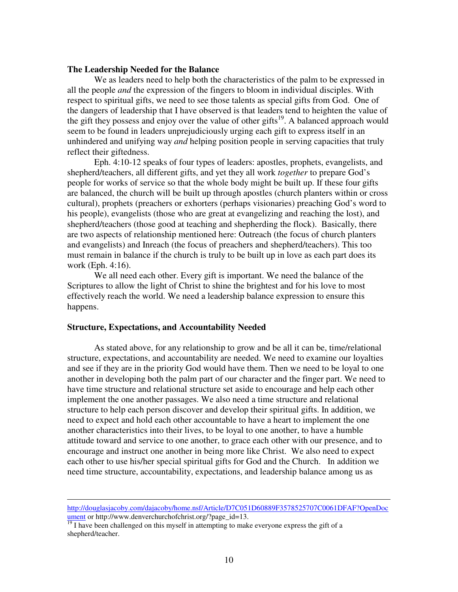## **The Leadership Needed for the Balance**

We as leaders need to help both the characteristics of the palm to be expressed in all the people *and* the expression of the fingers to bloom in individual disciples. With respect to spiritual gifts, we need to see those talents as special gifts from God. One of the dangers of leadership that I have observed is that leaders tend to heighten the value of the gift they possess and enjoy over the value of other gifts<sup>19</sup>. A balanced approach would seem to be found in leaders unprejudiciously urging each gift to express itself in an unhindered and unifying way *and* helping position people in serving capacities that truly reflect their giftedness.

Eph. 4:10-12 speaks of four types of leaders: apostles, prophets, evangelists, and shepherd/teachers, all different gifts, and yet they all work *together* to prepare God's people for works of service so that the whole body might be built up. If these four gifts are balanced, the church will be built up through apostles (church planters within or cross cultural), prophets (preachers or exhorters (perhaps visionaries) preaching God's word to his people), evangelists (those who are great at evangelizing and reaching the lost), and shepherd/teachers (those good at teaching and shepherding the flock). Basically, there are two aspects of relationship mentioned here: Outreach (the focus of church planters and evangelists) and Inreach (the focus of preachers and shepherd/teachers). This too must remain in balance if the church is truly to be built up in love as each part does its work (Eph. 4:16).

We all need each other. Every gift is important. We need the balance of the Scriptures to allow the light of Christ to shine the brightest and for his love to most effectively reach the world. We need a leadership balance expression to ensure this happens.

## **Structure, Expectations, and Accountability Needed**

As stated above, for any relationship to grow and be all it can be, time/relational structure, expectations, and accountability are needed. We need to examine our loyalties and see if they are in the priority God would have them. Then we need to be loyal to one another in developing both the palm part of our character and the finger part. We need to have time structure and relational structure set aside to encourage and help each other implement the one another passages. We also need a time structure and relational structure to help each person discover and develop their spiritual gifts. In addition, we need to expect and hold each other accountable to have a heart to implement the one another characteristics into their lives, to be loyal to one another, to have a humble attitude toward and service to one another, to grace each other with our presence, and to encourage and instruct one another in being more like Christ. We also need to expect each other to use his/her special spiritual gifts for God and the Church. In addition we need time structure, accountability, expectations, and leadership balance among us as

http://douglasjacoby.com/dajacoby/home.nsf/Article/D7C051D60889F3578525707C0061DFAF?OpenDoc  $\frac{$ ument or http://www.denverchurchofchrist.org/?page\_id=13.<br><sup>19</sup> I have been challenged on this myself in attempting to make everyone express the gift of a

shepherd/teacher.